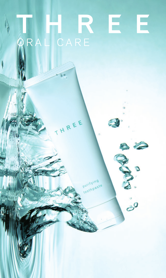## E R RAL CARE

REE

 $\sigma$ 

 $\frac{1}{\sigma^2}$ 

受

ö

puritying toothpaste